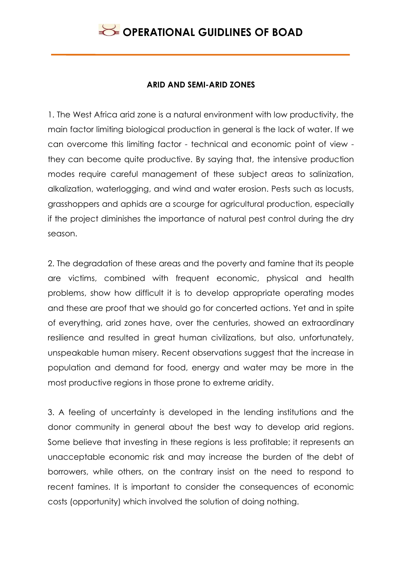### **ARID AND SEMI-ARID ZONES**

1. The West Africa arid zone is a natural environment with low productivity, the main factor limiting biological production in general is the lack of water. If we can overcome this limiting factor - technical and economic point of view they can become quite productive. By saying that, the intensive production modes require careful management of these subject areas to salinization, alkalization, waterlogging, and wind and water erosion. Pests such as locusts, grasshoppers and aphids are a scourge for agricultural production, especially if the project diminishes the importance of natural pest control during the dry season.

2. The degradation of these areas and the poverty and famine that its people are victims, combined with frequent economic, physical and health problems, show how difficult it is to develop appropriate operating modes and these are proof that we should go for concerted actions. Yet and in spite of everything, arid zones have, over the centuries, showed an extraordinary resilience and resulted in great human civilizations, but also, unfortunately, unspeakable human misery. Recent observations suggest that the increase in population and demand for food, energy and water may be more in the most productive regions in those prone to extreme aridity.

3. A feeling of uncertainty is developed in the lending institutions and the donor community in general about the best way to develop arid regions. Some believe that investing in these regions is less profitable; it represents an unacceptable economic risk and may increase the burden of the debt of borrowers, while others, on the contrary insist on the need to respond to recent famines. It is important to consider the consequences of economic costs (opportunity) which involved the solution of doing nothing.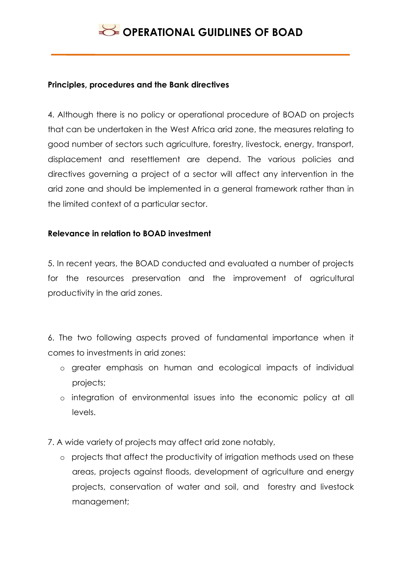#### **Principles, procedures and the Bank directives**

4. Although there is no policy or operational procedure of BOAD on projects that can be undertaken in the West Africa arid zone, the measures relating to good number of sectors such agriculture, forestry, livestock, energy, transport, displacement and resettlement are depend. The various policies and directives governing a project of a sector will affect any intervention in the arid zone and should be implemented in a general framework rather than in the limited context of a particular sector.

### **Relevance in relation to BOAD investment**

5. In recent years, the BOAD conducted and evaluated a number of projects for the resources preservation and the improvement of agricultural productivity in the arid zones.

6. The two following aspects proved of fundamental importance when it comes to investments in arid zones:

- o greater emphasis on human and ecological impacts of individual projects;
- o integration of environmental issues into the economic policy at all levels.
- 7. A wide variety of projects may affect arid zone notably,
	- o projects that affect the productivity of irrigation methods used on these areas, projects against floods, development of agriculture and energy projects, conservation of water and soil, and forestry and livestock management;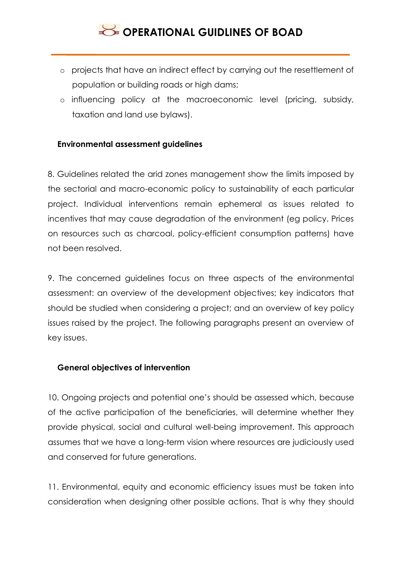- o projects that have an indirect effect by carrying out the resettlement of population or building roads or high dams;
- o influencing policy at the macroeconomic level (pricing, subsidy, taxation and land use bylaws).

#### **Environmental assessment guidelines**

8. Guidelines related the arid zones management show the limits imposed by the sectorial and macro-economic policy to sustainability of each particular project. Individual interventions remain ephemeral as issues related to incentives that may cause degradation of the environment (eg policy. Prices on resources such as charcoal, policy-efficient consumption patterns) have not been resolved.

9. The concerned guidelines focus on three aspects of the environmental assessment: an overview of the development objectives; key indicators that should be studied when considering a project; and an overview of key policy issues raised by the project. The following paragraphs present an overview of key issues.

#### **General objectives of intervention**

10. Ongoing projects and potential one's should be assessed which, because of the active participation of the beneficiaries, will determine whether they provide physical, social and cultural well-being improvement. This approach assumes that we have a long-term vision where resources are judiciously used and conserved for future generations.

11. Environmental, equity and economic efficiency issues must be taken into consideration when designing other possible actions. That is why they should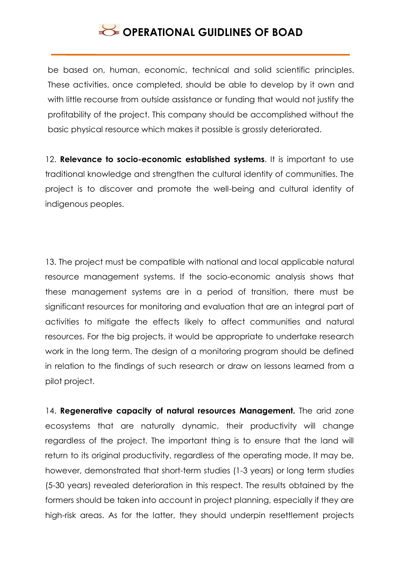be based on, human, economic, technical and solid scientific principles. These activities, once completed, should be able to develop by it own and with little recourse from outside assistance or funding that would not justify the profitability of the project. This company should be accomplished without the basic physical resource which makes it possible is grossly deteriorated.

12. **Relevance to socio-economic established systems**. It is important to use traditional knowledge and strengthen the cultural identity of communities. The project is to discover and promote the well-being and cultural identity of indigenous peoples.

13. The project must be compatible with national and local applicable natural resource management systems. If the socio-economic analysis shows that these management systems are in a period of transition, there must be significant resources for monitoring and evaluation that are an integral part of activities to mitigate the effects likely to affect communities and natural resources. For the big projects, it would be appropriate to undertake research work in the long term. The design of a monitoring program should be defined in relation to the findings of such research or draw on lessons learned from a pilot project.

14. **Regenerative capacity of natural resources Management.** The arid zone ecosystems that are naturally dynamic, their productivity will change regardless of the project. The important thing is to ensure that the land will return to its original productivity, regardless of the operating mode. It may be, however, demonstrated that short-term studies (1-3 years) or long term studies (5-30 years) revealed deterioration in this respect. The results obtained by the formers should be taken into account in project planning, especially if they are high-risk areas. As for the latter, they should underpin resettlement projects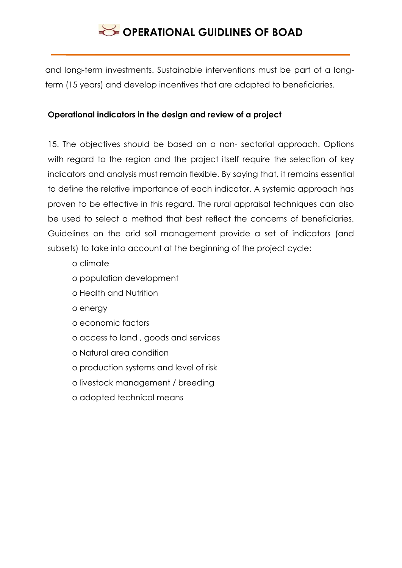and long-term investments. Sustainable interventions must be part of a longterm (15 years) and develop incentives that are adapted to beneficiaries.

### **Operational indicators in the design and review of a project**

15. The objectives should be based on a non- sectorial approach. Options with regard to the region and the project itself require the selection of key indicators and analysis must remain flexible. By saying that, it remains essential to define the relative importance of each indicator. A systemic approach has proven to be effective in this regard. The rural appraisal techniques can also be used to select a method that best reflect the concerns of beneficiaries. Guidelines on the arid soil management provide a set of indicators (and subsets) to take into account at the beginning of the project cycle:

- o climate
- o population development
- o Health and Nutrition
- o energy
- o economic factors
- o access to land , goods and services
- o Natural area condition
- o production systems and level of risk
- o livestock management / breeding
- o adopted technical means